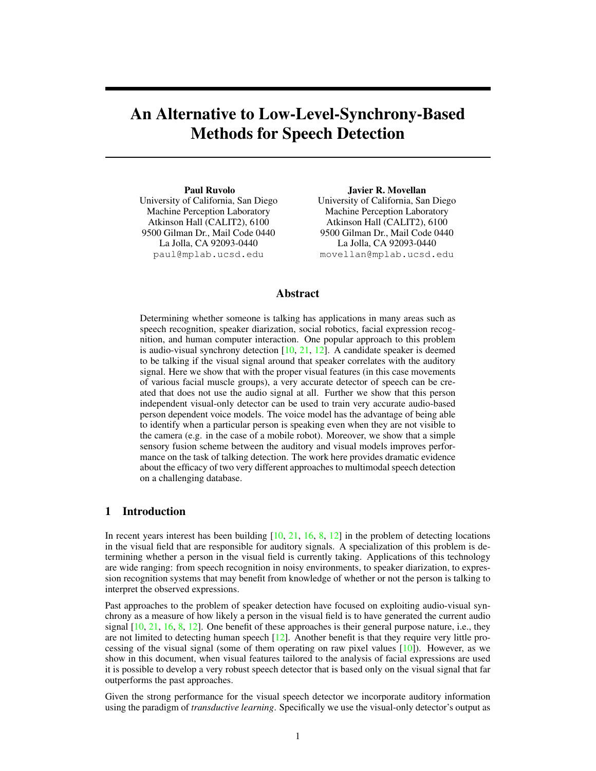## An Alternative to Low-Level-Synchrony-Based Methods for Speech Detection

Paul Ruvolo University of California, San Diego Machine Perception Laboratory Atkinson Hall (CALIT2), 6100 9500 Gilman Dr., Mail Code 0440 La Jolla, CA 92093-0440 paul@mplab.ucsd.edu

Javier R. Movellan University of California, San Diego Machine Perception Laboratory Atkinson Hall (CALIT2), 6100 9500 Gilman Dr., Mail Code 0440 La Jolla, CA 92093-0440 movellan@mplab.ucsd.edu

## Abstract

Determining whether someone is talking has applications in many areas such as speech recognition, speaker diarization, social robotics, facial expression recognition, and human computer interaction. One popular approach to this problem is audio-visual synchrony detection [10, 21, 12]. A candidate speaker is deemed to be talking if the visual signal around that speaker correlates with the auditory signal. Here we show that with the proper visual features (in this case movements of various facial muscle groups), a very accurate detector of speech can be created that does not use the audio signal at all. Further we show that this person independent visual-only detector can be used to train very accurate audio-based person dependent voice models. The voice model has the advantage of being able to identify when a particular person is speaking even when they are not visible to the camera (e.g. in the case of a mobile robot). Moreover, we show that a simple sensory fusion scheme between the auditory and visual models improves performance on the task of talking detection. The work here provides dramatic evidence about the efficacy of two very different approaches to multimodal speech detection on a challenging database.

## 1 Introduction

In recent years interest has been building  $[10, 21, 16, 8, 12]$  in the problem of detecting locations in the visual field that are responsible for auditory signals. A specialization of this problem is determining whether a person in the visual field is currently taking. Applications of this technology are wide ranging: from speech recognition in noisy environments, to speaker diarization, to expression recognition systems that may benefit from knowledge of whether or not the person is talking to interpret the observed expressions.

Past approaches to the problem of speaker detection have focused on exploiting audio-visual synchrony as a measure of how likely a person in the visual field is to have generated the current audio signal  $[10, 21, 16, 8, 12]$ . One benefit of these approaches is their general purpose nature, i.e., they are not limited to detecting human speech [12]. Another benefit is that they require very little processing of the visual signal (some of them operating on raw pixel values  $[10]$ ). However, as we show in this document, when visual features tailored to the analysis of facial expressions are used it is possible to develop a very robust speech detector that is based only on the visual signal that far outperforms the past approaches.

Given the strong performance for the visual speech detector we incorporate auditory information using the paradigm of *transductive learning*. Specifically we use the visual-only detector's output as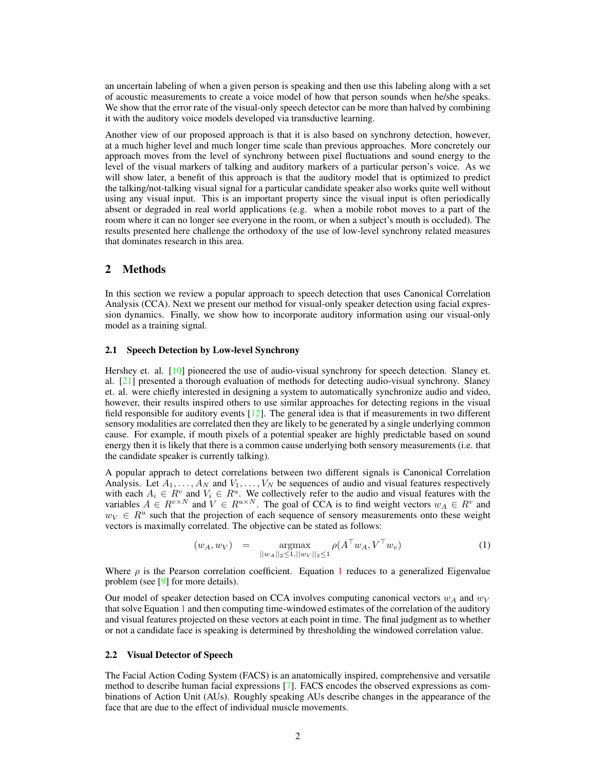an uncertain labeling of when a given person is speaking and then use this labeling along with a set of acoustic measurements to create a voice model of how that person sounds when he/she speaks. We show that the error rate of the visual-only speech detector can be more than halved by combining it with the auditory voice models developed via transductive learning.

Another view of our proposed approach is that it is also based on synchrony detection, however, at a much higher level and much longer time scale than previous approaches. More concretely our approach moves from the level of synchrony between pixel fluctuations and sound energy to the level of the visual markers of talking and auditory markers of a particular person's voice. As we will show later, a benefit of this approach is that the auditory model that is optimized to predict the talking/not-talking visual signal for a particular candidate speaker also works quite well without using any visual input. This is an important property since the visual input is often periodically absent or degraded in real world applications (e.g. when a mobile robot moves to a part of the room where it can no longer see everyone in the room, or when a subject's mouth is occluded). The results presented here challenge the orthodoxy of the use of low-level synchrony related measures that dominates research in this area.

## 2 Methods

In this section we review a popular approach to speech detection that uses Canonical Correlation Analysis (CCA). Next we present our method for visual-only speaker detection using facial expression dynamics. Finally, we show how to incorporate auditory information using our visual-only model as a training signal.

#### 2.1 Speech Detection by Low-level Synchrony

Hershey et. al. [10] pioneered the use of audio-visual synchrony for speech detection. Slaney et. al. [21] presented a thorough evaluation of methods for detecting audio-visual synchrony. Slaney et. al. were chiefly interested in designing a system to automatically synchronize audio and video, however, their results inspired others to use similar approaches for detecting regions in the visual field responsible for auditory events [12]. The general idea is that if measurements in two different sensory modalities are correlated then they are likely to be generated by a single underlying common cause. For example, if mouth pixels of a potential speaker are highly predictable based on sound energy then it is likely that there is a common cause underlying both sensory measurements (i.e. that the candidate speaker is currently talking).

A popular apprach to detect correlations between two different signals is Canonical Correlation Analysis. Let  $A_1, \ldots, A_N$  and  $V_1, \ldots, V_N$  be sequences of audio and visual features respectively with each  $A_i \in R^v$  and  $V_i \in R^u$ . We collectively refer to the audio and visual features with the variables  $A \in R^{v \times N}$  and  $V \in R^{u \times N}$ . The goal of CCA is to find weight vectors  $w_A \in R^v$  and  $w_V \in R^u$  such that the projection of each sequence of sensory measurements onto these weight vectors is maximally correlated. The objective can be stated as follows:

$$
(w_A, w_V) = \operatorname*{argmax}_{\|w_A\|_2 \le 1, \|w_V\|_2 \le 1} \rho(A^\top w_A, V^\top w_v)
$$
(1)

Where  $\rho$  is the Pearson correlation coefficient. Equation 1 reduces to a generalized Eigenvalue problem (see [9] for more details).

Our model of speaker detection based on CCA involves computing canonical vectors  $w_A$  and  $w_V$ that solve Equation 1 and then computing time-windowed estimates of the correlation of the auditory and visual features projected on these vectors at each point in time. The final judgment as to whether or not a candidate face is speaking is determined by thresholding the windowed correlation value.

#### 2.2 Visual Detector of Speech

The Facial Action Coding System (FACS) is an anatomically inspired, comprehensive and versatile method to describe human facial expressions [7]. FACS encodes the observed expressions as combinations of Action Unit (AUs). Roughly speaking AUs describe changes in the appearance of the face that are due to the effect of individual muscle movements.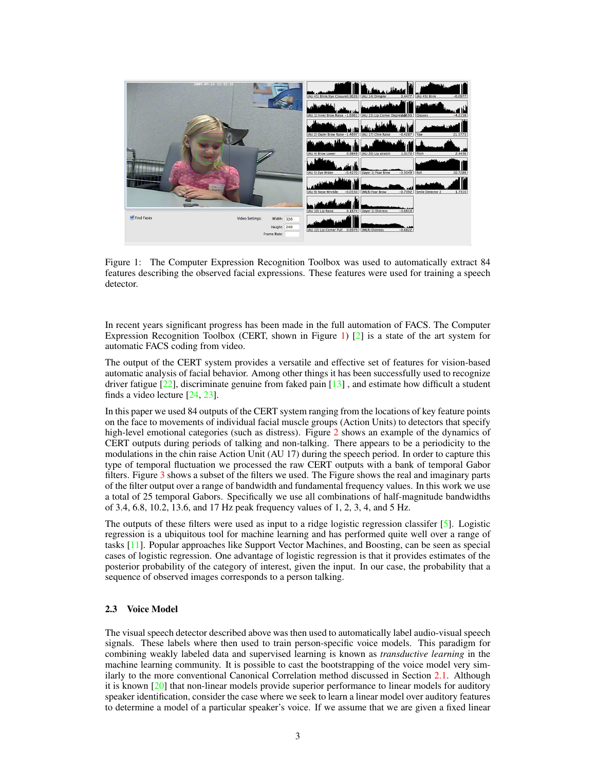

Figure 1: The Computer Expression Recognition Toolbox was used to automatically extract 84 features describing the observed facial expressions. These features were used for training a speech detector.

In recent years significant progress has been made in the full automation of FACS. The Computer Expression Recognition Toolbox (CERT, shown in Figure 1)  $[2]$  is a state of the art system for automatic FACS coding from video.

The output of the CERT system provides a versatile and effective set of features for vision-based automatic analysis of facial behavior. Among other things it has been successfully used to recognize driver fatigue  $[22]$ , discriminate genuine from faked pain  $[13]$ , and estimate how difficult a student finds a video lecture [24, 23].

In this paper we used 84 outputs of the CERT system ranging from the locations of key feature points on the face to movements of individual facial muscle groups (Action Units) to detectors that specify high-level emotional categories (such as distress). Figure 2 shows an example of the dynamics of CERT outputs during periods of talking and non-talking. There appears to be a periodicity to the modulations in the chin raise Action Unit (AU 17) during the speech period. In order to capture this type of temporal fluctuation we processed the raw CERT outputs with a bank of temporal Gabor filters. Figure 3 shows a subset of the filters we used. The Figure shows the real and imaginary parts of the filter output over a range of bandwidth and fundamental frequency values. In this work we use a total of 25 temporal Gabors. Specifically we use all combinations of half-magnitude bandwidths of 3.4, 6.8, 10.2, 13.6, and 17 Hz peak frequency values of 1, 2, 3, 4, and 5 Hz.

The outputs of these filters were used as input to a ridge logistic regression classifer [5]. Logistic regression is a ubiquitous tool for machine learning and has performed quite well over a range of tasks [11]. Popular approaches like Support Vector Machines, and Boosting, can be seen as special cases of logistic regression. One advantage of logistic regression is that it provides estimates of the posterior probability of the category of interest, given the input. In our case, the probability that a sequence of observed images corresponds to a person talking.

## 2.3 Voice Model

The visual speech detector described above was then used to automatically label audio-visual speech signals. These labels where then used to train person-specific voice models. This paradigm for combining weakly labeled data and supervised learning is known as *transductive learning* in the machine learning community. It is possible to cast the bootstrapping of the voice model very similarly to the more conventional Canonical Correlation method discussed in Section 2.1. Although it is known [20] that non-linear models provide superior performance to linear models for auditory speaker identification, consider the case where we seek to learn a linear model over auditory features to determine a model of a particular speaker's voice. If we assume that we are given a fixed linear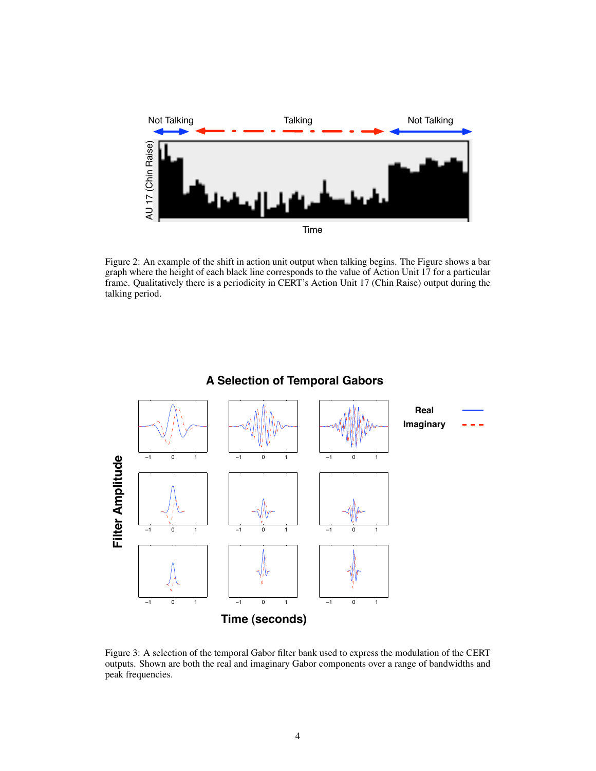

Figure 2: An example of the shift in action unit output when talking begins. The Figure shows a bar graph where the height of each black line corresponds to the value of Action Unit 17 for a particular frame. Qualitatively there is a periodicity in CERT's Action Unit 17 (Chin Raise) output during the talking period.



# **!0.1 A Selection of Temporal Gabors**

Figure 3: A selection of the temporal Gabor filter bank used to express the modulation of the CERT outputs. Shown are both the real and imaginary Gabor components over a range of bandwidths and peak frequencies.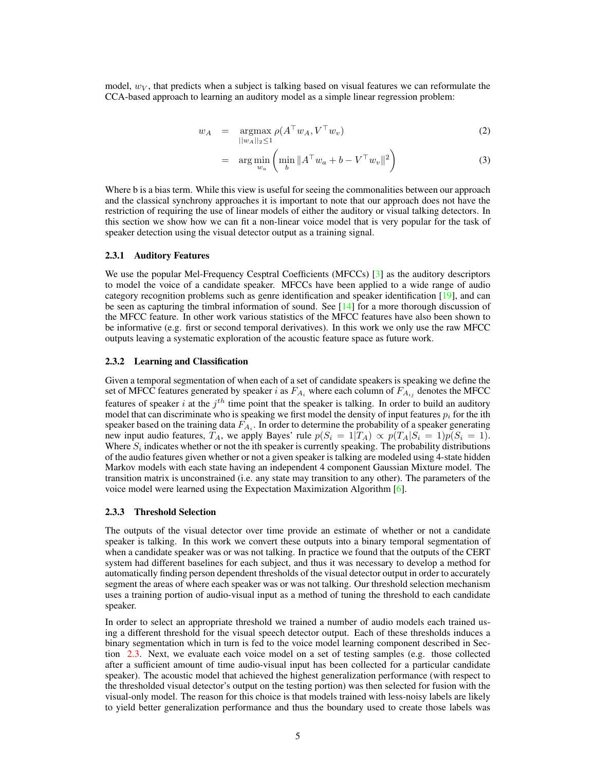model,  $w_V$ , that predicts when a subject is talking based on visual features we can reformulate the CCA-based approach to learning an auditory model as a simple linear regression problem:

$$
w_A = \underset{||w_A||_2 \le 1}{\operatorname{argmax}} \rho(A^\top w_A, V^\top w_v) \tag{2}
$$

$$
= \arg\min_{w_a} \left( \min_b \|A^\top w_a + b - V^\top w_v\|^2 \right) \tag{3}
$$

Where b is a bias term. While this view is useful for seeing the commonalities between our approach and the classical synchrony approaches it is important to note that our approach does not have the restriction of requiring the use of linear models of either the auditory or visual talking detectors. In this section we show how we can fit a non-linear voice model that is very popular for the task of speaker detection using the visual detector output as a training signal.

#### 2.3.1 Auditory Features

We use the popular Mel-Frequency Cesptral Coefficients (MFCCs) [3] as the auditory descriptors to model the voice of a candidate speaker. MFCCs have been applied to a wide range of audio category recognition problems such as genre identification and speaker identification [19], and can be seen as capturing the timbral information of sound. See [14] for a more thorough discussion of the MFCC feature. In other work various statistics of the MFCC features have also been shown to be informative (e.g. first or second temporal derivatives). In this work we only use the raw MFCC outputs leaving a systematic exploration of the acoustic feature space as future work.

#### 2.3.2 Learning and Classification

Given a temporal segmentation of when each of a set of candidate speakers is speaking we define the set of MFCC features generated by speaker i as  $F_{A_i}$  where each column of  $F_{A_{ij}}$  denotes the MFCC features of speaker i at the  $j<sup>th</sup>$  time point that the speaker is talking. In order to build an auditory model that can discriminate who is speaking we first model the density of input features  $p_i$  for the ith speaker based on the training data  $F_{A_i}$ . In order to determine the probability of a speaker generating new input audio features,  $T_A$ , we apply Bayes' rule  $p(S_i = 1|T_A) \propto p(T_A|S_i = 1)p(S_i = 1)$ . Where  $S_i$  indicates whether or not the ith speaker is currently speaking. The probability distributions of the audio features given whether or not a given speaker is talking are modeled using 4-state hidden Markov models with each state having an independent 4 component Gaussian Mixture model. The transition matrix is unconstrained (i.e. any state may transition to any other). The parameters of the voice model were learned using the Expectation Maximization Algorithm [6].

#### 2.3.3 Threshold Selection

The outputs of the visual detector over time provide an estimate of whether or not a candidate speaker is talking. In this work we convert these outputs into a binary temporal segmentation of when a candidate speaker was or was not talking. In practice we found that the outputs of the CERT system had different baselines for each subject, and thus it was necessary to develop a method for automatically finding person dependent thresholds of the visual detector output in order to accurately segment the areas of where each speaker was or was not talking. Our threshold selection mechanism uses a training portion of audio-visual input as a method of tuning the threshold to each candidate speaker.

In order to select an appropriate threshold we trained a number of audio models each trained using a different threshold for the visual speech detector output. Each of these thresholds induces a binary segmentation which in turn is fed to the voice model learning component described in Section 2.3. Next, we evaluate each voice model on a set of testing samples (e.g. those collected after a sufficient amount of time audio-visual input has been collected for a particular candidate speaker). The acoustic model that achieved the highest generalization performance (with respect to the thresholded visual detector's output on the testing portion) was then selected for fusion with the visual-only model. The reason for this choice is that models trained with less-noisy labels are likely to yield better generalization performance and thus the boundary used to create those labels was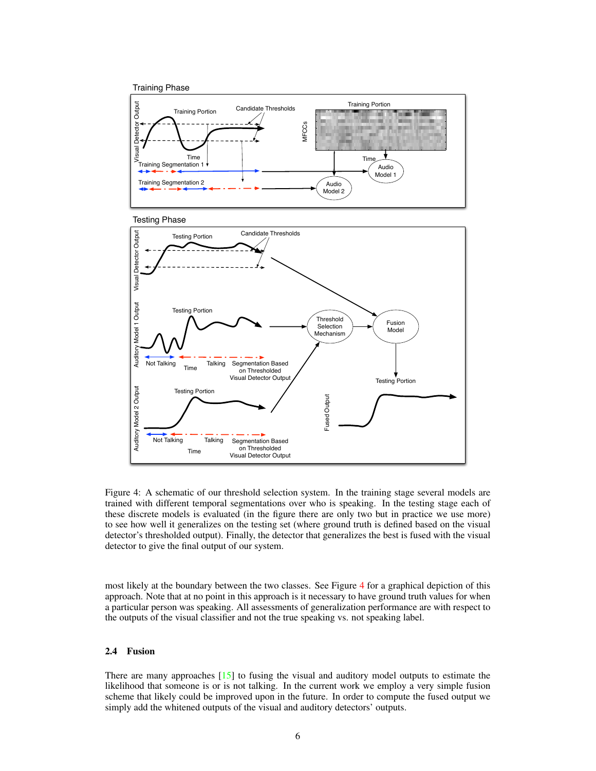

Figure 4: A schematic of our threshold selection system. In the training stage several models are trained with different temporal segmentations over who is speaking. In the testing stage each of these discrete models is evaluated (in the figure there are only two but in practice we use more) to see how well it generalizes on the testing set (where ground truth is defined based on the visual detector's thresholded output). Finally, the detector that generalizes the best is fused with the visual detector to give the final output of our system.

most likely at the boundary between the two classes. See Figure 4 for a graphical depiction of this approach. Note that at no point in this approach is it necessary to have ground truth values for when a particular person was speaking. All assessments of generalization performance are with respect to the outputs of the visual classifier and not the true speaking vs. not speaking label.

#### 2.4 Fusion

There are many approaches  $[15]$  to fusing the visual and auditory model outputs to estimate the likelihood that someone is or is not talking. In the current work we employ a very simple fusion scheme that likely could be improved upon in the future. In order to compute the fused output we simply add the whitened outputs of the visual and auditory detectors' outputs.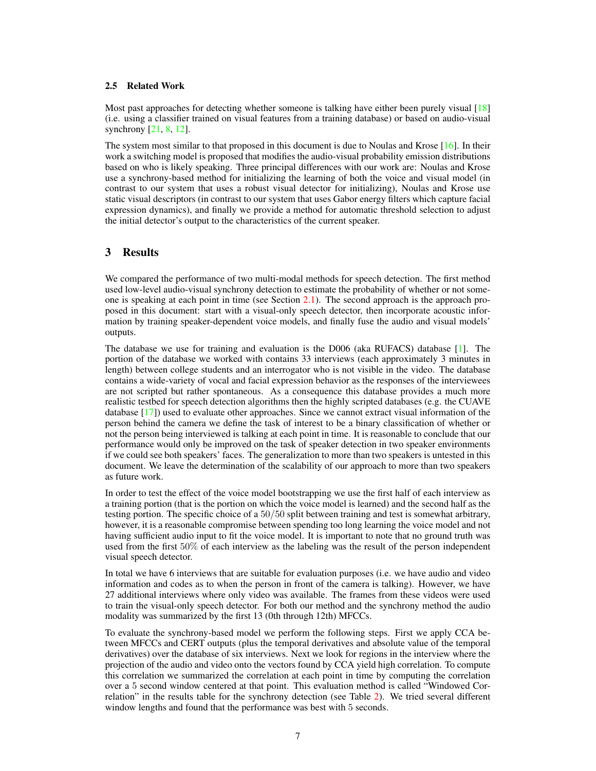## 2.5 Related Work

Most past approaches for detecting whether someone is talking have either been purely visual [18] (i.e. using a classifier trained on visual features from a training database) or based on audio-visual synchrony [21, 8, 12].

The system most similar to that proposed in this document is due to Noulas and Krose [16]. In their work a switching model is proposed that modifies the audio-visual probability emission distributions based on who is likely speaking. Three principal differences with our work are: Noulas and Krose use a synchrony-based method for initializing the learning of both the voice and visual model (in contrast to our system that uses a robust visual detector for initializing), Noulas and Krose use static visual descriptors (in contrast to our system that uses Gabor energy filters which capture facial expression dynamics), and finally we provide a method for automatic threshold selection to adjust the initial detector's output to the characteristics of the current speaker.

## 3 Results

We compared the performance of two multi-modal methods for speech detection. The first method used low-level audio-visual synchrony detection to estimate the probability of whether or not someone is speaking at each point in time (see Section 2.1). The second approach is the approach proposed in this document: start with a visual-only speech detector, then incorporate acoustic information by training speaker-dependent voice models, and finally fuse the audio and visual models' outputs.

The database we use for training and evaluation is the D006 (aka RUFACS) database [1]. The portion of the database we worked with contains 33 interviews (each approximately 3 minutes in length) between college students and an interrogator who is not visible in the video. The database contains a wide-variety of vocal and facial expression behavior as the responses of the interviewees are not scripted but rather spontaneous. As a consequence this database provides a much more realistic testbed for speech detection algorithms then the highly scripted databases (e.g. the CUAVE database [17]) used to evaluate other approaches. Since we cannot extract visual information of the person behind the camera we define the task of interest to be a binary classification of whether or not the person being interviewed is talking at each point in time. It is reasonable to conclude that our performance would only be improved on the task of speaker detection in two speaker environments if we could see both speakers' faces. The generalization to more than two speakers is untested in this document. We leave the determination of the scalability of our approach to more than two speakers as future work.

In order to test the effect of the voice model bootstrapping we use the first half of each interview as a training portion (that is the portion on which the voice model is learned) and the second half as the testing portion. The specific choice of a 50/50 split between training and test is somewhat arbitrary, however, it is a reasonable compromise between spending too long learning the voice model and not having sufficient audio input to fit the voice model. It is important to note that no ground truth was used from the first 50% of each interview as the labeling was the result of the person independent visual speech detector.

In total we have 6 interviews that are suitable for evaluation purposes (i.e. we have audio and video information and codes as to when the person in front of the camera is talking). However, we have 27 additional interviews where only video was available. The frames from these videos were used to train the visual-only speech detector. For both our method and the synchrony method the audio modality was summarized by the first 13 (0th through 12th) MFCCs.

To evaluate the synchrony-based model we perform the following steps. First we apply CCA between MFCCs and CERT outputs (plus the temporal derivatives and absolute value of the temporal derivatives) over the database of six interviews. Next we look for regions in the interview where the projection of the audio and video onto the vectors found by CCA yield high correlation. To compute this correlation we summarized the correlation at each point in time by computing the correlation over a 5 second window centered at that point. This evaluation method is called "Windowed Correlation" in the results table for the synchrony detection (see Table 2). We tried several different window lengths and found that the performance was best with 5 seconds.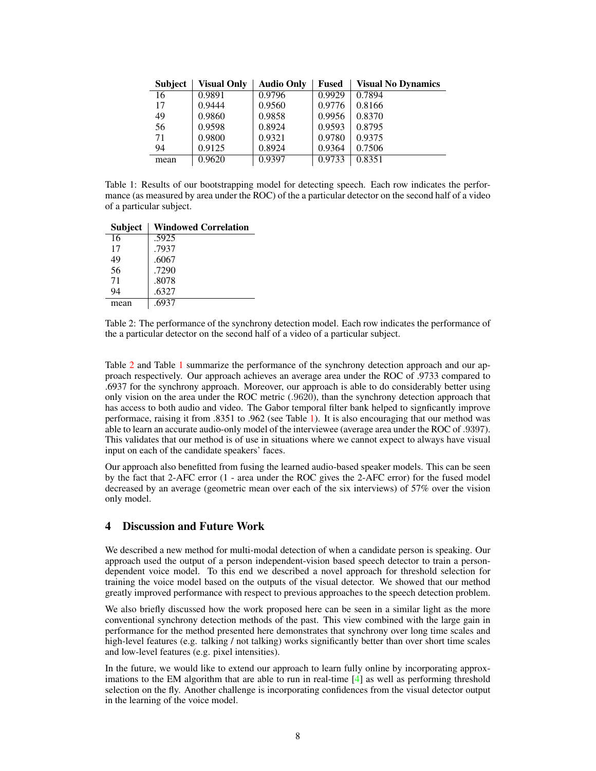| <b>Subject</b> | Visual Only | <b>Audio Only</b> | Fused  | <b>Visual No Dynamics</b> |
|----------------|-------------|-------------------|--------|---------------------------|
| 16             | 0.9891      | 0.9796            | 0.9929 | 0.7894                    |
| 17             | 0.9444      | 0.9560            | 0.9776 | 0.8166                    |
| 49             | 0.9860      | 0.9858            | 0.9956 | 0.8370                    |
| 56             | 0.9598      | 0.8924            | 0.9593 | 0.8795                    |
| 71             | 0.9800      | 0.9321            | 0.9780 | 0.9375                    |
| 94             | 0.9125      | 0.8924            | 0.9364 | 0.7506                    |
| mean           | 0.9620      | 0.9397            | 0.9733 | 0.8351                    |

Table 1: Results of our bootstrapping model for detecting speech. Each row indicates the performance (as measured by area under the ROC) of the a particular detector on the second half of a video of a particular subject.

| <b>Subject</b>   Windowed Correlation |  |
|---------------------------------------|--|
|                                       |  |

| 16   | .5925 |
|------|-------|
| 17   | .7937 |
| 49   | .6067 |
| 56   | .7290 |
| 71   | .8078 |
| 94   | .6327 |
| mean | .6937 |

Table 2: The performance of the synchrony detection model. Each row indicates the performance of the a particular detector on the second half of a video of a particular subject.

Table 2 and Table 1 summarize the performance of the synchrony detection approach and our approach respectively. Our approach achieves an average area under the ROC of .9733 compared to .6937 for the synchrony approach. Moreover, our approach is able to do considerably better using only vision on the area under the ROC metric (.9620), than the synchrony detection approach that has access to both audio and video. The Gabor temporal filter bank helped to signficantly improve performace, raising it from .8351 to .962 (see Table 1). It is also encouraging that our method was able to learn an accurate audio-only model of the interviewee (average area under the ROC of .9397). This validates that our method is of use in situations where we cannot expect to always have visual input on each of the candidate speakers' faces.

Our approach also benefitted from fusing the learned audio-based speaker models. This can be seen by the fact that 2-AFC error (1 - area under the ROC gives the 2-AFC error) for the fused model decreased by an average (geometric mean over each of the six interviews) of 57% over the vision only model.

## 4 Discussion and Future Work

We described a new method for multi-modal detection of when a candidate person is speaking. Our approach used the output of a person independent-vision based speech detector to train a persondependent voice model. To this end we described a novel approach for threshold selection for training the voice model based on the outputs of the visual detector. We showed that our method greatly improved performance with respect to previous approaches to the speech detection problem.

We also briefly discussed how the work proposed here can be seen in a similar light as the more conventional synchrony detection methods of the past. This view combined with the large gain in performance for the method presented here demonstrates that synchrony over long time scales and high-level features (e.g. talking / not talking) works significantly better than over short time scales and low-level features (e.g. pixel intensities).

In the future, we would like to extend our approach to learn fully online by incorporating approximations to the EM algorithm that are able to run in real-time [4] as well as performing threshold selection on the fly. Another challenge is incorporating confidences from the visual detector output in the learning of the voice model.